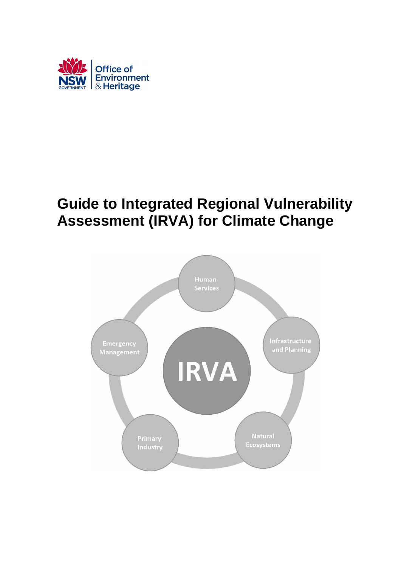

# **Guide to Integrated Regional Vulnerability Assessment (IRVA) for Climate Change**

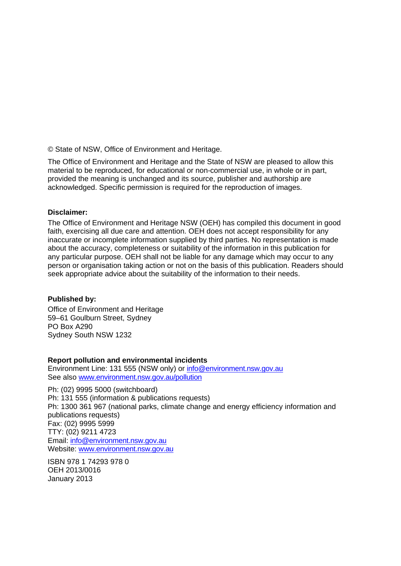© State of NSW, Office of Environment and Heritage.

The Office of Environment and Heritage and the State of NSW are pleased to allow this material to be reproduced, for educational or non-commercial use, in whole or in part, provided the meaning is unchanged and its source, publisher and authorship are acknowledged. Specific permission is required for the reproduction of images.

#### **Disclaimer:**

The Office of Environment and Heritage NSW (OEH) has compiled this document in good faith, exercising all due care and attention. OEH does not accept responsibility for any inaccurate or incomplete information supplied by third parties. No representation is made about the accuracy, completeness or suitability of the information in this publication for any particular purpose. OEH shall not be liable for any damage which may occur to any person or organisation taking action or not on the basis of this publication. Readers should seek appropriate advice about the suitability of the information to their needs.

### **Published by:**

Office of Environment and Heritage 59–61 Goulburn Street, Sydney PO Box A290 Sydney South NSW 1232

**Report pollution and environmental incidents** Environment Line: 131 555 (NSW only) or [info@environment.nsw.gov.au](mailto:info@environment.nsw.gov.au) See also [www.environment.nsw.gov.au/pollution](http://www.environment.nsw.gov.au/pollution)

Ph: (02) 9995 5000 (switchboard) Ph: 131 555 (information & publications requests) Ph: 1300 361 967 (national parks, climate change and energy efficiency information and publications requests) Fax: (02) 9995 5999 TTY: (02) 9211 4723 Email: [info@environment.nsw.gov.au](mailto:info@environment.nsw.gov.au) Website: [www.environment.nsw.gov.au](http://www.environment.nsw.gov.au/)

ISBN 978 1 74293 978 0 OEH 2013/0016 January 2013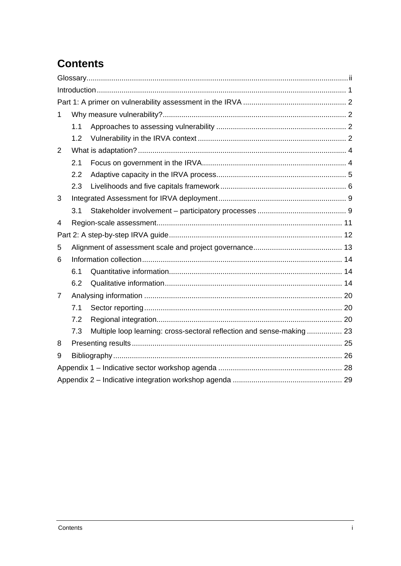# **Contents**

| 1 |     |                                                                       |  |  |  |
|---|-----|-----------------------------------------------------------------------|--|--|--|
|   | 1.1 |                                                                       |  |  |  |
|   | 1.2 |                                                                       |  |  |  |
| 2 |     |                                                                       |  |  |  |
|   | 2.1 |                                                                       |  |  |  |
|   | 2.2 |                                                                       |  |  |  |
|   | 2.3 |                                                                       |  |  |  |
| 3 |     |                                                                       |  |  |  |
|   | 3.1 |                                                                       |  |  |  |
| 4 |     |                                                                       |  |  |  |
|   |     |                                                                       |  |  |  |
| 5 |     |                                                                       |  |  |  |
| 6 |     |                                                                       |  |  |  |
|   | 6.1 |                                                                       |  |  |  |
|   | 6.2 |                                                                       |  |  |  |
| 7 |     |                                                                       |  |  |  |
|   | 7.1 |                                                                       |  |  |  |
|   | 7.2 |                                                                       |  |  |  |
|   | 7.3 | Multiple loop learning: cross-sectoral reflection and sense-making 23 |  |  |  |
| 8 |     |                                                                       |  |  |  |
| 9 |     |                                                                       |  |  |  |
|   |     |                                                                       |  |  |  |
|   |     |                                                                       |  |  |  |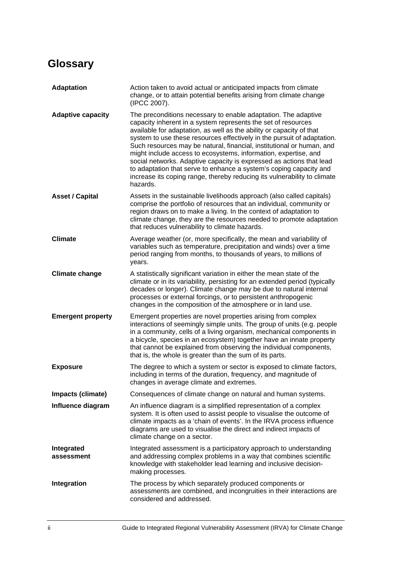# <span id="page-3-0"></span>**Glossary**

| <b>Adaptation</b>        | Action taken to avoid actual or anticipated impacts from climate<br>change, or to attain potential benefits arising from climate change<br>(IPCC 2007).                                                                                                                                                                                                                                                                                                                                                                                                                                                                                                              |
|--------------------------|----------------------------------------------------------------------------------------------------------------------------------------------------------------------------------------------------------------------------------------------------------------------------------------------------------------------------------------------------------------------------------------------------------------------------------------------------------------------------------------------------------------------------------------------------------------------------------------------------------------------------------------------------------------------|
| <b>Adaptive capacity</b> | The preconditions necessary to enable adaptation. The adaptive<br>capacity inherent in a system represents the set of resources<br>available for adaptation, as well as the ability or capacity of that<br>system to use these resources effectively in the pursuit of adaptation.<br>Such resources may be natural, financial, institutional or human, and<br>might include access to ecosystems, information, expertise, and<br>social networks. Adaptive capacity is expressed as actions that lead<br>to adaptation that serve to enhance a system's coping capacity and<br>increase its coping range, thereby reducing its vulnerability to climate<br>hazards. |
| <b>Asset / Capital</b>   | Assets in the sustainable livelihoods approach (also called capitals)<br>comprise the portfolio of resources that an individual, community or<br>region draws on to make a living. In the context of adaptation to<br>climate change, they are the resources needed to promote adaptation<br>that reduces vulnerability to climate hazards.                                                                                                                                                                                                                                                                                                                          |
| <b>Climate</b>           | Average weather (or, more specifically, the mean and variability of<br>variables such as temperature, precipitation and winds) over a time<br>period ranging from months, to thousands of years, to millions of<br>years.                                                                                                                                                                                                                                                                                                                                                                                                                                            |
| <b>Climate change</b>    | A statistically significant variation in either the mean state of the<br>climate or in its variability, persisting for an extended period (typically<br>decades or longer). Climate change may be due to natural internal<br>processes or external forcings, or to persistent anthropogenic<br>changes in the composition of the atmosphere or in land use.                                                                                                                                                                                                                                                                                                          |
| <b>Emergent property</b> | Emergent properties are novel properties arising from complex<br>interactions of seemingly simple units. The group of units (e.g. people<br>in a community, cells of a living organism, mechanical components in<br>a bicycle, species in an ecosystem) together have an innate property<br>that cannot be explained from observing the individual components,<br>that is, the whole is greater than the sum of its parts.                                                                                                                                                                                                                                           |
| <b>Exposure</b>          | The degree to which a system or sector is exposed to climate factors,<br>including in terms of the duration, frequency, and magnitude of<br>changes in average climate and extremes.                                                                                                                                                                                                                                                                                                                                                                                                                                                                                 |
| Impacts (climate)        | Consequences of climate change on natural and human systems.                                                                                                                                                                                                                                                                                                                                                                                                                                                                                                                                                                                                         |
| Influence diagram        | An influence diagram is a simplified representation of a complex<br>system. It is often used to assist people to visualise the outcome of<br>climate impacts as a 'chain of events'. In the IRVA process influence<br>diagrams are used to visualise the direct and indirect impacts of<br>climate change on a sector.                                                                                                                                                                                                                                                                                                                                               |
| Integrated<br>assessment | Integrated assessment is a participatory approach to understanding<br>and addressing complex problems in a way that combines scientific<br>knowledge with stakeholder lead learning and inclusive decision-<br>making processes.                                                                                                                                                                                                                                                                                                                                                                                                                                     |
| Integration              | The process by which separately produced components or<br>assessments are combined, and incongruities in their interactions are<br>considered and addressed.                                                                                                                                                                                                                                                                                                                                                                                                                                                                                                         |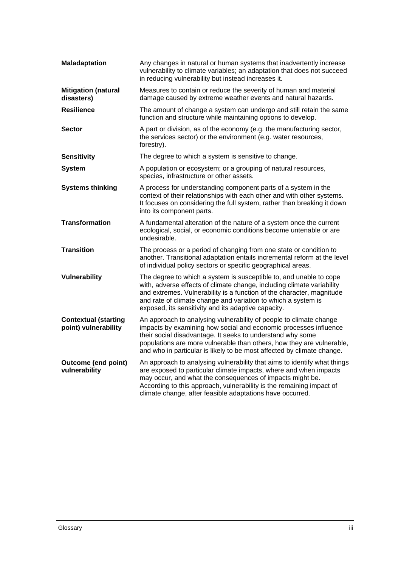| <b>Maladaptation</b>                                | Any changes in natural or human systems that inadvertently increase<br>vulnerability to climate variables; an adaptation that does not succeed<br>in reducing vulnerability but instead increases it.                                                                                                                                                   |
|-----------------------------------------------------|---------------------------------------------------------------------------------------------------------------------------------------------------------------------------------------------------------------------------------------------------------------------------------------------------------------------------------------------------------|
| <b>Mitigation (natural</b><br>disasters)            | Measures to contain or reduce the severity of human and material<br>damage caused by extreme weather events and natural hazards.                                                                                                                                                                                                                        |
| <b>Resilience</b>                                   | The amount of change a system can undergo and still retain the same<br>function and structure while maintaining options to develop.                                                                                                                                                                                                                     |
| <b>Sector</b>                                       | A part or division, as of the economy (e.g. the manufacturing sector,<br>the services sector) or the environment (e.g. water resources,<br>forestry).                                                                                                                                                                                                   |
| <b>Sensitivity</b>                                  | The degree to which a system is sensitive to change.                                                                                                                                                                                                                                                                                                    |
| <b>System</b>                                       | A population or ecosystem; or a grouping of natural resources,<br>species, infrastructure or other assets.                                                                                                                                                                                                                                              |
| <b>Systems thinking</b>                             | A process for understanding component parts of a system in the<br>context of their relationships with each other and with other systems.<br>It focuses on considering the full system, rather than breaking it down<br>into its component parts.                                                                                                        |
| <b>Transformation</b>                               | A fundamental alteration of the nature of a system once the current<br>ecological, social, or economic conditions become untenable or are<br>undesirable.                                                                                                                                                                                               |
| <b>Transition</b>                                   | The process or a period of changing from one state or condition to<br>another. Transitional adaptation entails incremental reform at the level<br>of individual policy sectors or specific geographical areas.                                                                                                                                          |
| Vulnerability                                       | The degree to which a system is susceptible to, and unable to cope<br>with, adverse effects of climate change, including climate variability<br>and extremes. Vulnerability is a function of the character, magnitude<br>and rate of climate change and variation to which a system is<br>exposed, its sensitivity and its adaptive capacity.           |
| <b>Contextual (starting</b><br>point) vulnerability | An approach to analysing vulnerability of people to climate change<br>impacts by examining how social and economic processes influence<br>their social disadvantage. It seeks to understand why some<br>populations are more vulnerable than others, how they are vulnerable,<br>and who in particular is likely to be most affected by climate change. |
| <b>Outcome (end point)</b><br>vulnerability         | An approach to analysing vulnerability that aims to identify what things<br>are exposed to particular climate impacts, where and when impacts<br>may occur, and what the consequences of impacts might be.<br>According to this approach, vulnerability is the remaining impact of<br>climate change, after feasible adaptations have occurred.         |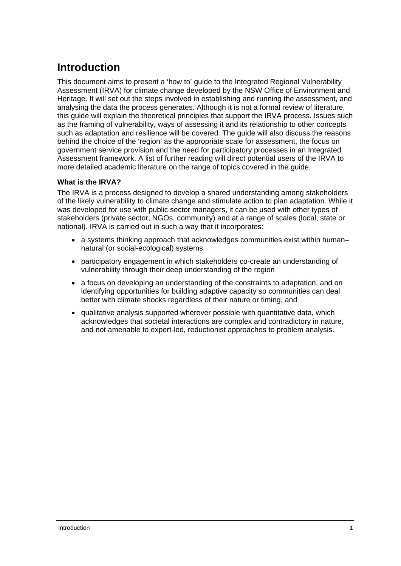# <span id="page-6-0"></span>**Introduction**

This document aims to present a 'how to' guide to the Integrated Regional Vulnerability Assessment (IRVA) for climate change developed by the NSW Office of Environment and Heritage. It will set out the steps involved in establishing and running the assessment, and analysing the data the process generates. Although it is not a formal review of literature, this guide will explain the theoretical principles that support the IRVA process. Issues such as the framing of vulnerability, ways of assessing it and its relationship to other concepts such as adaptation and resilience will be covered. The guide will also discuss the reasons behind the choice of the 'region' as the appropriate scale for assessment, the focus on government service provision and the need for participatory processes in an Integrated Assessment framework. A list of further reading will direct potential users of the IRVA to more detailed academic literature on the range of topics covered in the guide.

### **What is the IRVA?**

The IRVA is a process designed to develop a shared understanding among stakeholders of the likely vulnerability to climate change and stimulate action to plan adaptation. While it was developed for use with public sector managers, it can be used with other types of stakeholders (private sector, NGOs, community) and at a range of scales (local, state or national). IRVA is carried out in such a way that it incorporates:

- a systems thinking approach that acknowledges communities exist within human– natural (or social-ecological) systems
- participatory engagement in which stakeholders co-create an understanding of vulnerability through their deep understanding of the region
- a focus on developing an understanding of the constraints to adaptation, and on identifying opportunities for building adaptive capacity so communities can deal better with climate shocks regardless of their nature or timing, and
- qualitative analysis supported wherever possible with quantitative data, which acknowledges that societal interactions are complex and contradictory in nature, and not amenable to expert-led, reductionist approaches to problem analysis.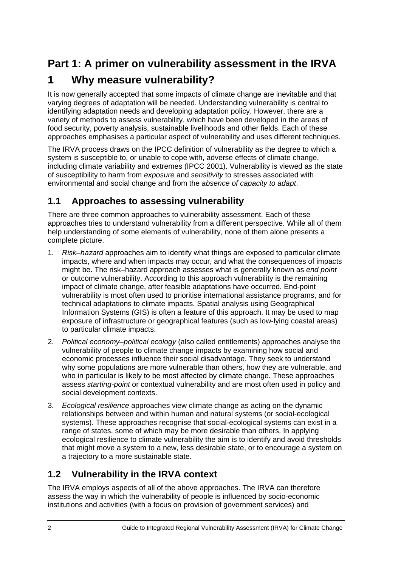# <span id="page-7-0"></span>**Part 1: A primer on vulnerability assessment in the IRVA**

# <span id="page-7-1"></span>**1 Why measure vulnerability?**

It is now generally accepted that some impacts of climate change are inevitable and that varying degrees of adaptation will be needed. Understanding vulnerability is central to identifying adaptation needs and developing adaptation policy. However, there are a variety of methods to assess vulnerability, which have been developed in the areas of food security, poverty analysis, sustainable livelihoods and other fields. Each of these approaches emphasises a particular aspect of vulnerability and uses different techniques.

The IRVA process draws on the IPCC definition of vulnerability as the degree to which a system is susceptible to, or unable to cope with, adverse effects of climate change, including climate variability and extremes (IPCC 2001). Vulnerability is viewed as the state of susceptibility to harm from *exposure* and *sensitivity* to stresses associated with environmental and social change and from the *absence of capacity to adapt*.

## <span id="page-7-2"></span>**1.1 Approaches to assessing vulnerability**

There are three common approaches to vulnerability assessment. Each of these approaches tries to understand vulnerability from a different perspective. While all of them help understanding of some elements of vulnerability, none of them alone presents a complete picture.

- 1. *Risk–hazard* approaches aim to identify what things are exposed to particular climate impacts, where and when impacts may occur, and what the consequences of impacts might be. The risk–hazard approach assesses what is generally known as *end point* or outcome vulnerability. According to this approach vulnerability is the remaining impact of climate change, after feasible adaptations have occurred. End-point vulnerability is most often used to prioritise international assistance programs, and for technical adaptations to climate impacts. Spatial analysis using Geographical Information Systems (GIS) is often a feature of this approach. It may be used to map exposure of infrastructure or geographical features (such as low-lying coastal areas) to particular climate impacts.
- 2. *Political economy–political ecology* (also called entitlements) approaches analyse the vulnerability of people to climate change impacts by examining how social and economic processes influence their social disadvantage. They seek to understand why some populations are more vulnerable than others, how they are vulnerable, and who in particular is likely to be most affected by climate change. These approaches assess *starting-point* or contextual vulnerability and are most often used in policy and social development contexts.
- 3. *Ecological resilience* approaches view climate change as acting on the dynamic relationships between and within human and natural systems (or social-ecological systems). These approaches recognise that social-ecological systems can exist in a range of states, some of which may be more desirable than others. In applying ecological resilience to climate vulnerability the aim is to identify and avoid thresholds that might move a system to a new, less desirable state, or to encourage a system on a trajectory to a more sustainable state.

## <span id="page-7-3"></span>**1.2 Vulnerability in the IRVA context**

The IRVA employs aspects of all of the above approaches. The IRVA can therefore assess the way in which the vulnerability of people is influenced by socio-economic institutions and activities (with a focus on provision of government services) and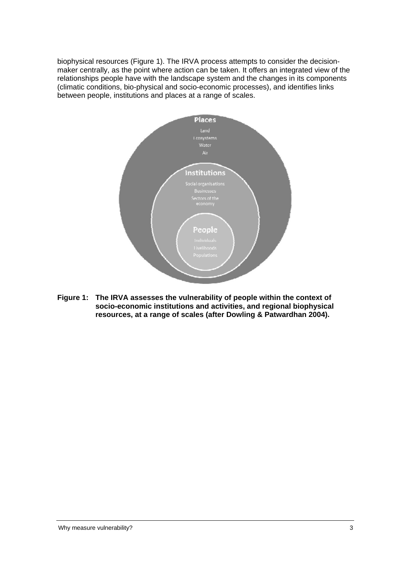biophysical resources (Figure 1). The IRVA process attempts to consider the decisionmaker centrally, as the point where action can be taken. It offers an integrated view of the relationships people have with the landscape system and the changes in its components (climatic conditions, bio-physical and socio-economic processes), and identifies links between people, institutions and places at a range of scales.



**Figure 1: The IRVA assesses the vulnerability of people within the context of socio-economic institutions and activities, and regional biophysical resources, at a range of scales (after Dowling & Patwardhan 2004).**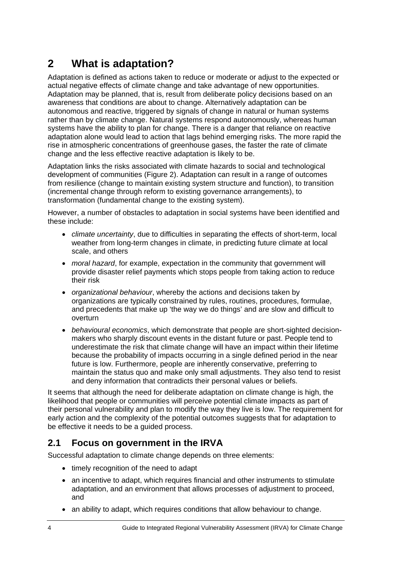# <span id="page-9-0"></span>**2 What is adaptation?**

Adaptation is defined as actions taken to reduce or moderate or adjust to the expected or actual negative effects of climate change and take advantage of new opportunities. Adaptation may be planned, that is, result from deliberate policy decisions based on an awareness that conditions are about to change. Alternatively adaptation can be autonomous and reactive, triggered by signals of change in natural or human systems rather than by climate change. Natural systems respond autonomously, whereas human systems have the ability to plan for change. There is a danger that reliance on reactive adaptation alone would lead to action that lags behind emerging risks. The more rapid the rise in atmospheric concentrations of greenhouse gases, the faster the rate of climate change and the less effective reactive adaptation is likely to be.

Adaptation links the risks associated with climate hazards to social and technological development of communities (Figure 2). Adaptation can result in a range of outcomes from resilience (change to maintain existing system structure and function), to transition (incremental change through reform to existing governance arrangements), to transformation (fundamental change to the existing system).

However, a number of obstacles to adaptation in social systems have been identified and these include:

- *climate uncertainty*, due to difficulties in separating the effects of short-term, local weather from long-term changes in climate, in predicting future climate at local scale, and others
- *moral hazard*, for example, expectation in the community that government will provide disaster relief payments which stops people from taking action to reduce their risk
- *organizational behaviour*, whereby the actions and decisions taken by organizations are typically constrained by rules, routines, procedures, formulae, and precedents that make up 'the way we do things' and are slow and difficult to overturn
- *behavioural economics*, which demonstrate that people are short-sighted decisionmakers who sharply discount events in the distant future or past. People tend to underestimate the risk that climate change will have an impact within their lifetime because the probability of impacts occurring in a single defined period in the near future is low. Furthermore, people are inherently conservative, preferring to maintain the status quo and make only small adjustments. They also tend to resist and deny information that contradicts their personal values or beliefs.

It seems that although the need for deliberate adaptation on climate change is high, the likelihood that people or communities will perceive potential climate impacts as part of their personal vulnerability and plan to modify the way they live is low. The requirement for early action and the complexity of the potential outcomes suggests that for adaptation to be effective it needs to be a guided process.

## <span id="page-9-1"></span>**2.1 Focus on government in the IRVA**

Successful adaptation to climate change depends on three elements:

- timely recognition of the need to adapt
- an incentive to adapt, which requires financial and other instruments to stimulate adaptation, and an environment that allows processes of adjustment to proceed, and
- an ability to adapt, which requires conditions that allow behaviour to change.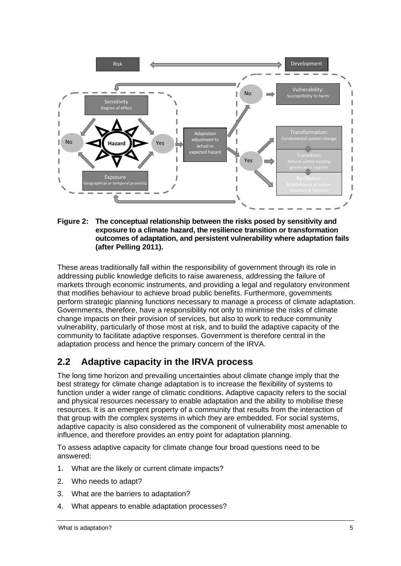

**Figure 2: The conceptual relationship between the risks posed by sensitivity and exposure to a climate hazard, the resilience transition or transformation outcomes of adaptation, and persistent vulnerability where adaptation fails (after Pelling 2011).** 

These areas traditionally fall within the responsibility of government through its role in addressing public knowledge deficits to raise awareness, addressing the failure of markets through economic instruments, and providing a legal and regulatory environment that modifies behaviour to achieve broad public benefits. Furthermore, governments perform strategic planning functions necessary to manage a process of climate adaptation. Governments, therefore, have a responsibility not only to minimise the risks of climate change impacts on their provision of services, but also to work to reduce community vulnerability, particularly of those most at risk, and to build the adaptive capacity of the community to facilitate adaptive responses. Government is therefore central in the adaptation process and hence the primary concern of the IRVA.

## <span id="page-10-0"></span>**2.2 Adaptive capacity in the IRVA process**

The long time horizon and prevailing uncertainties about climate change imply that the best strategy for climate change adaptation is to increase the flexibility of systems to function under a wider range of climatic conditions. Adaptive capacity refers to the social and physical resources necessary to enable adaptation and the ability to mobilise these resources. It is an emergent property of a community that results from the interaction of that group with the complex systems in which they are embedded. For social systems, adaptive capacity is also considered as the component of vulnerability most amenable to influence, and therefore provides an entry point for adaptation planning.

To assess adaptive capacity for climate change four broad questions need to be answered:

- 1. What are the likely or current climate impacts?
- 2. Who needs to adapt?
- 3. What are the barriers to adaptation?
- 4. What appears to enable adaptation processes?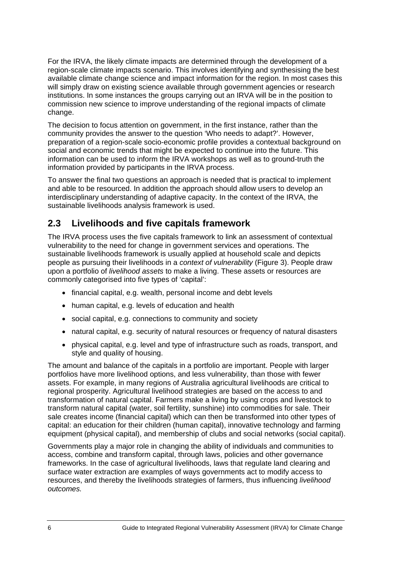For the IRVA, the likely climate impacts are determined through the development of a region-scale climate impacts scenario. This involves identifying and synthesising the best available climate change science and impact information for the region. In most cases this will simply draw on existing science available through government agencies or research institutions. In some instances the groups carrying out an IRVA will be in the position to commission new science to improve understanding of the regional impacts of climate change.

The decision to focus attention on government, in the first instance, rather than the community provides the answer to the question 'Who needs to adapt?'. However, preparation of a region-scale socio-economic profile provides a contextual background on social and economic trends that might be expected to continue into the future. This information can be used to inform the IRVA workshops as well as to ground-truth the information provided by participants in the IRVA process.

To answer the final two questions an approach is needed that is practical to implement and able to be resourced. In addition the approach should allow users to develop an interdisciplinary understanding of adaptive capacity. In the context of the IRVA, the sustainable livelihoods analysis framework is used.

## <span id="page-11-0"></span>**2.3 Livelihoods and five capitals framework**

The IRVA process uses the five capitals framework to link an assessment of contextual vulnerability to the need for change in government services and operations. The sustainable livelihoods framework is usually applied at household scale and depicts people as pursuing their livelihoods in a *context of vulnerability* (Figure 3). People draw upon a portfolio of *livelihood assets* to make a living. These assets or resources are commonly categorised into five types of 'capital':

- financial capital, e.g. wealth, personal income and debt levels
- human capital, e.g. levels of education and health
- social capital, e.g. connections to community and society
- natural capital, e.g. security of natural resources or frequency of natural disasters
- physical capital, e.g. level and type of infrastructure such as roads, transport, and style and quality of housing.

The amount and balance of the capitals in a portfolio are important. People with larger portfolios have more livelihood options, and less vulnerability, than those with fewer assets. For example, in many regions of Australia agricultural livelihoods are critical to regional prosperity. Agricultural livelihood strategies are based on the access to and transformation of natural capital. Farmers make a living by using crops and livestock to transform natural capital (water, soil fertility, sunshine) into commodities for sale. Their sale creates income (financial capital) which can then be transformed into other types of capital: an education for their children (human capital), innovative technology and farming equipment (physical capital), and membership of clubs and social networks (social capital).

Governments play a major role in changing the ability of individuals and communities to access, combine and transform capital, through laws, policies and other governance frameworks. In the case of agricultural livelihoods, laws that regulate land clearing and surface water extraction are examples of ways governments act to modify access to resources, and thereby the livelihoods strategies of farmers, thus influencing *livelihood outcomes.*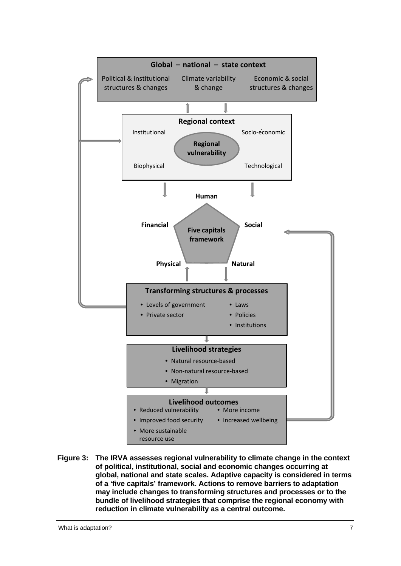

**Figure 3: The IRVA assesses regional vulnerability to climate change in the context of political, institutional, social and economic changes occurring at global, national and state scales. Adaptive capacity is considered in terms of a 'five capitals' framework. Actions to remove barriers to adaptation may include changes to transforming structures and processes or to the bundle of livelihood strategies that comprise the regional economy with reduction in climate vulnerability as a central outcome.**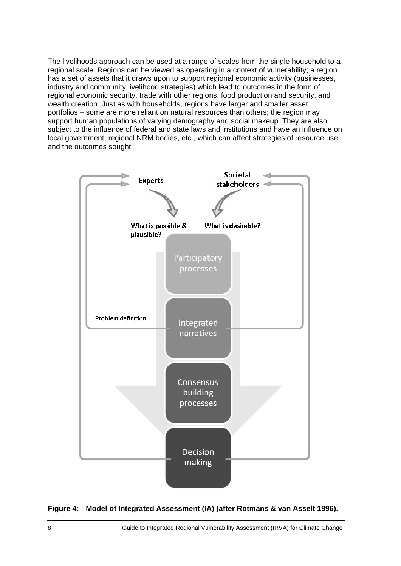The livelihoods approach can be used at a range of scales from the single household to a regional scale. Regions can be viewed as operating in a context of vulnerability; a region has a set of assets that it draws upon to support regional economic activity (businesses, industry and community livelihood strategies) which lead to outcomes in the form of regional economic security, trade with other regions, food production and security, and wealth creation. Just as with households, regions have larger and smaller asset portfolios – some are more reliant on natural resources than others; the region may support human populations of varying demography and social makeup. They are also subject to the influence of federal and state laws and institutions and have an influence on local government, regional NRM bodies, etc., which can affect strategies of resource use and the outcomes sought.



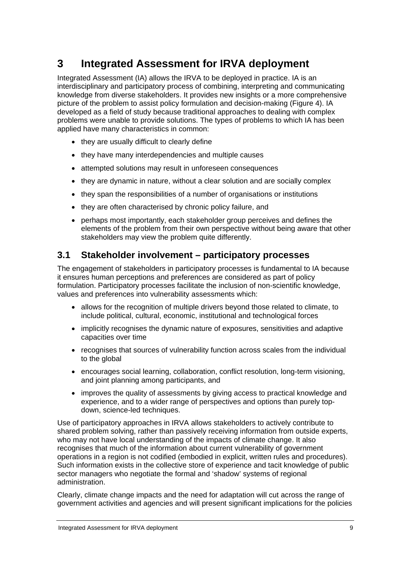# <span id="page-14-0"></span>**3 Integrated Assessment for IRVA deployment**

Integrated Assessment (IA) allows the IRVA to be deployed in practice. IA is an interdisciplinary and participatory process of combining, interpreting and communicating knowledge from diverse stakeholders. It provides new insights or a more comprehensive picture of the problem to assist policy formulation and decision-making (Figure 4). IA developed as a field of study because traditional approaches to dealing with complex problems were unable to provide solutions. The types of problems to which IA has been applied have many characteristics in common:

- they are usually difficult to clearly define
- they have many interdependencies and multiple causes
- attempted solutions may result in unforeseen consequences
- $\bullet$  they are dynamic in nature, without a clear solution and are socially complex
- they span the responsibilities of a number of organisations or institutions
- they are often characterised by chronic policy failure, and
- perhaps most importantly, each stakeholder group perceives and defines the elements of the problem from their own perspective without being aware that other stakeholders may view the problem quite differently.

### <span id="page-14-1"></span>**3.1 Stakeholder involvement – participatory processes**

The engagement of stakeholders in participatory processes is fundamental to IA because it ensures human perceptions and preferences are considered as part of policy formulation. Participatory processes facilitate the inclusion of non-scientific knowledge, values and preferences into vulnerability assessments which:

- allows for the recognition of multiple drivers beyond those related to climate, to include political, cultural, economic, institutional and technological forces
- implicitly recognises the dynamic nature of exposures, sensitivities and adaptive capacities over time
- recognises that sources of vulnerability function across scales from the individual to the global
- encourages social learning, collaboration, conflict resolution, long-term visioning, and joint planning among participants, and
- improves the quality of assessments by giving access to practical knowledge and down, science-led techniques. experience, and to a wider range of perspectives and options than purely top-

Use of participatory approaches in IRVA allows stakeholders to actively contribute to shared problem solving, rather than passively receiving information from outside experts, who may not have local understanding of the impacts of climate change. It also recognises that much of the information about current vulnerability of government operations in a region is not codified (embodied in explicit, written rules and procedures). Such information exists in the collective store of experience and tacit knowledge of public sector managers who negotiate the formal and 'shadow' systems of regional administration.

Clearly, climate change impacts and the need for adaptation will cut across the range of government activities and agencies and will present significant implications for the policies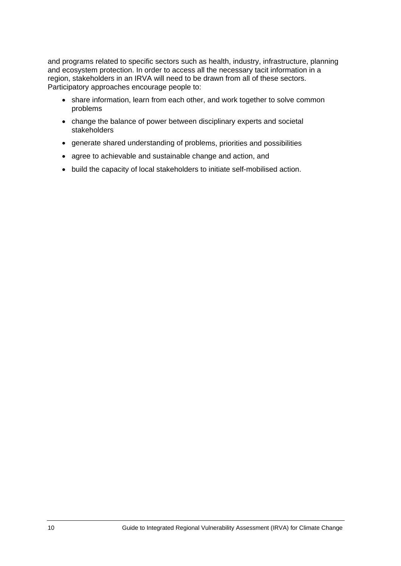and programs related to specific sectors such as health, industry, infrastructure , planning and ecosystem protection. In order to access all the necessary tacit information in a region, stakeholders in an IRVA will need to be drawn from all of these sectors. Participatory approaches encourage people to:

- share information, learn from each other, and work together to solve common problems
- change the balance of power between disciplinary experts and societal stakeholders
- generate shared understanding of problems, priorities and possibilities
- agree to achievable and sustainable change and action, and
- build the capacity of local stakeholders to initiate self-mobilised action.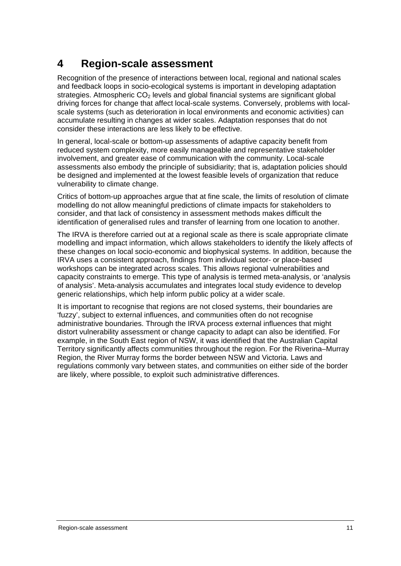## <span id="page-16-0"></span>**4 Region-scale assessment**

Recognition of the presence of interactions between local, regional and national scales and feedback loops in socio-ecological systems is important in developing adaptation driving forces for change that affect local-scale systems. Conversely, problems with localscale systems (such as deterioration in local environments and economic activities) can accumulate resulting in changes at wider scales. Adaptation responses that do not consider these interactions are less likely to be effective. strategies. Atmospheric  $CO<sub>2</sub>$  levels and global financial systems are significant global

In general, local-scale or bottom-up assessments of adaptive capacity benefit from involvement, and greater ease of communication with the community. Local-scale assessments also embody the principle of subsidiarity; that is, adaptation policies should vulnerability to climate change. reduced system complexity, more easily manageable and representative stakeholder be designed and implemented at the lowest feasible levels of organization that reduce

Critics of bottom-up approaches argue that at fine scale, the limits of resolution of climate modelling do not allow meaningful predictions of climate impacts for stakeholders to consider, and that lack of consistency in assessment methods makes difficult the identification of generalised rules and transfer of learning from one location to another.

The IRVA is therefore carried out at a regional scale as there is scale appropriate climate modelling and impact information, which allows stakeholders to identify the likely affects of these changes on local socio-economic and biophysical systems. In addition, because the IRVA uses a consistent approach, findings from individual sector- or place-based workshops can be integrated across scales. This allows regional vulnerabilities and capacity constraints to emerge. This type of analysis is termed meta-analysis, or 'analysis of analysis'. Meta-analysis accumulates and integrates local study evidence to develop generic relationships, which help inform public policy at a wider scale.

It is important to recognise that regions are not closed systems, their boundaries are 'fuzzy', subject to external influences, and communities often do not recognise administrative boundaries. Through the IRVA process external influences that might distort vulnerability assessment or change capacity to adapt can also be identified. For example, in the South East region of NSW, it was identified that the Australian Capital Territory significantly affects communities throughout the region. For the Riverina–Murray Region, the River Murray forms the border between NSW and Victoria. Laws and regulations commonly vary between states, and communities on either side of the border are likely, where possible, to exploit such administrative differences.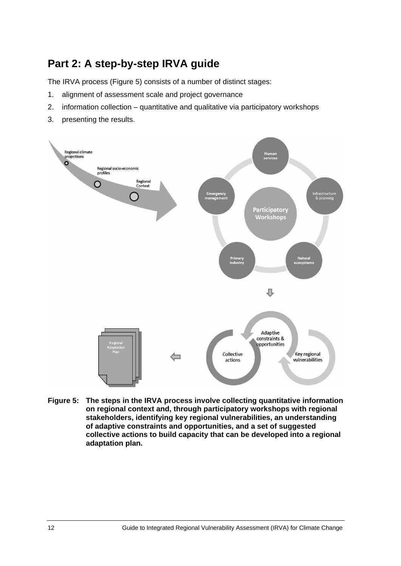# <span id="page-17-0"></span>**Part 2: A step-by-step IRVA guide**

The IRVA process (Figure 5) consists of a number of distinct stages:

- 1. alignment of assessment scale and project governance
- 2. information collection quantitative and qualitative via participatory workshops
- 3. presenting the results.



**Figure 5: The steps in the IRVA process involve collecting quantitative information on regional context and, through participatory workshops with regional stakeholders, identifying key regional vulnerabilities, an understanding of adaptive constraints and opportunities, and a set of suggested collective actions to build capacity that can be developed into a regional adaptation plan.**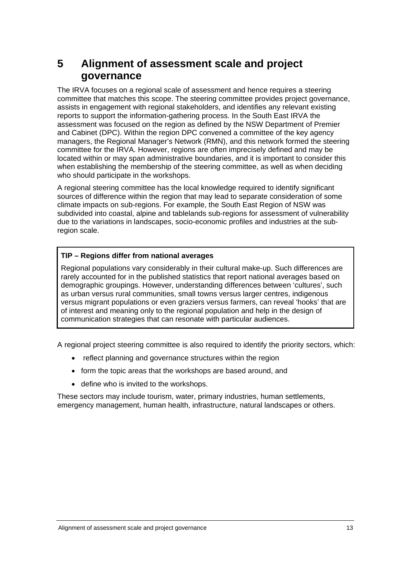## <span id="page-18-0"></span>**5 Alignment of assessment scale and project governance**

The IRVA focuses on a regional scale of assessment and hence requires a steering committee that matches this scope. The steering committee provides project governance, reports to support the information-gathering process. In the South East IRVA the assessment was focused on the region as defined by the NSW Department of Premier and Cabinet (DPC). Within the region DPC convened a committee of the key agency managers, the Regional Manager's Network (RMN), and this network formed the steering committee for the IRVA. However, regions are often imprecisely defined and may be located within or may span administrative boundaries, and it is important to consider this when establishing the membership of the steering committee, as well as when deciding who should participate in the workshops. assists in engagement with regional stakeholders, and identifies any relevant existing

A regional steering committee has the local knowledge required to identify significant sources of difference within the region that may lead to separate consideration of some climate impacts on sub-regions. For example, the South East Region of NSW was subdivided into coastal, alpine and tablelands sub-regions for assessment of vulnerability due to the variations in landscapes, socio-economic profiles and industries at the subregion scale.

### **TIP – Regions differ from national averages**

Regional populations vary considerably in their cultural make-up. Such differences are rarely accounted for in the published statistics that report national averages based on demographic groupings. However, understanding differences between 'cultures', such as urban versus rural communities, small towns versus larger centres, indigenous versus migrant populations or even graziers versus farmers, can reveal 'hooks' that are of interest and meaning only to the regional population and help in the design of communication strategies that can resonate with particular audiences.

A regional project steering committee is also required to identify the priority sectors, which:

- reflect planning and governance structures within the region
- form the topic areas that the workshops are based around, and
- define who is invited to the workshops.

These sectors may include tourism, water, primary industries, human settlements, emergency management, human health, infrastructure, natural landscapes or others.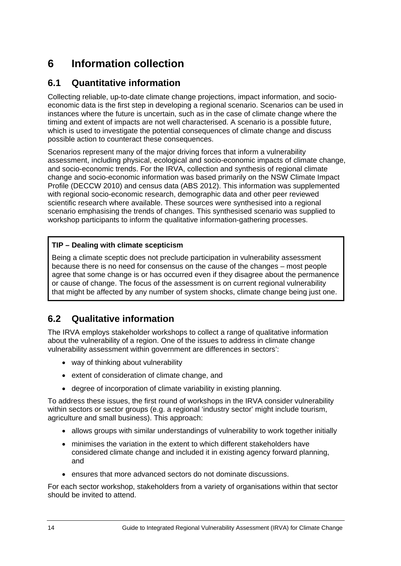# <span id="page-19-0"></span>**6 Information collection**

## <span id="page-19-1"></span>**6.1 Quantitative information**

instances where the future is uncertain, such as in the case of climate change where the Collecting reliable, up-to-date climate change projections, impact information, and socioeconomic data is the first step in developing a regional scenario. Scenarios can be used in timing and extent of impacts are not well characterised. A scenario is a possible future, which is used to investigate the potential consequences of climate change and discuss possible action to counteract these consequences.

assessment, including physical, ecological and socio-economic impacts of climate change, change and socio-economic information was based primarily on the NSW Climate Impact Profile (DECCW 2010) and census data (ABS 2012). This information was supplemented Scenarios represent many of the major driving forces that inform a vulnerability and socio-economic trends. For the IRVA, collection and synthesis of regional climate with regional socio-economic research, demographic data and other peer reviewed scientific research where available. These sources were synthesised into a regional scenario emphasising the trends of changes. This synthesised scenario was supplied to workshop participants to inform the qualitative information-gathering processes.

### **TIP – Dealing with climate scepticism**

Being a climate sceptic does not preclude participation in vulnerability assessment that might be affected by any number of system shocks, climate change being just one. because there is no need for consensus on the cause of the changes – most people agree that some change is or has occurred even if they disagree about the permanence or cause of change. The focus of the assessment is on current regional vulnerability

#### <span id="page-19-2"></span>**6 .2 Qualitative information**

The IRVA employs stakeholder workshops to collect a range of qualitative information about the vulnerability of a region. One of the issues to address in climate change vulnerability assessment within government are differences in sectors':

- way of thinking about vulnerability
- extent of consideration of climate change, and
- degree of incorporation of climate variability in existing planning.

To address these issues, the first round of workshops in the IRVA consider vulnerability agriculture and small business). This approach: within sectors or sector groups (e.g. a regional 'industry sector' might include tourism,

- allows groups with similar understandings of vulnerability to work together initially
- minimises the variation in the extent to which different stakeholders have considered climate change and included it in existing agency forward planning, and
- ensures that more advanced sectors do not dominate discussions.

For each sector workshop, stakeholders from a variety of organisations within that sector should be invited to attend.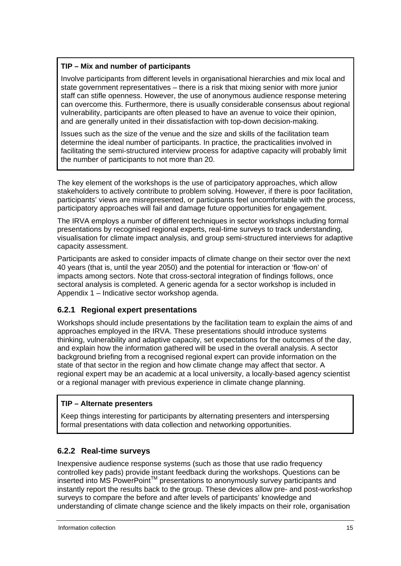### **TIP – Mix and number of participants**

Involve participants from different levels i n organisational hierarchies and mix local and state government representatives - there is a risk that mixing senior with more junior staff can stifle openness. However, the use of anonymous audience response metering can overcome this. Furthermore, there is usually considerable consensus about regional vulnerability, participants are often pleased to have an avenue to voice their opinion, and are generally united in their dissatisfaction with top-down decision-making.

determine the ideal number of participants. In practice, the practicalities involved in facilitating the semi-structured interview process for adaptive capacity will probably limit Issues such as the size of the venue and the size and skills of the facilitation team the number of participants to not more than 20.

The key element of the workshops is the use of participatory approaches, which allow stakeholders to actively contribute to problem solving. However, if there is poor facilitation, participants' views are misrepresented, or participants feel uncomfortable with the pro cess, participatory approaches will fail and damage future opportunities for engagement.

The IRVA employs a number of different techniques in sector workshops includin g formal presentations by recognised regional experts, real-time surveys to track understanding, visualisation for climate impact analysis, and group semi-structured interviews for adaptive c apacity assessment.

Participants are asked to consider impacts of climate change on their sector over the next 4 0 years (that is, until the year 2050) and the potential for interaction or 'flow-on' of im pacts among sectors. Note that cross-sectoral integration of findings follows, once s ectoral analysis is completed. A generic agenda for a sector workshop is included in A ppendix 1 – Indicative sector workshop agenda.

### **6.2.1 Regional expert presentations**

Workshops should include presentations by the facilitation team to explain the aims of and thinking, vulnerability and adaptive capacity, set expectations for the outcomes of the day, and explain how the information gathered will be used in the overall analysis. A sector background briefing from a recognised regional expert can provide information on the state of that sector in the region and how climate change may affect that sector. A regional expert may be an academic at a local university, a locally-based agency scientist approaches employed in the IRVA. These presentations should introduce systems or a regional manager with previous experience in climate change planning.

### **TIP – Alternate presenters**

Keep things interesting for participants by alternating presenters and interspersing formal presentations with data collection and networking opportunities.

### **6.2.2 Real-time surveys**

Inexpensive audience response systems (such as those that use radio frequency controlled key pads) provide instant feedback during the workshops. Questions can be surveys to compare the before and after levels of participants' knowledge and understanding of climate change science and the likely impacts on their role, organisation  $T$  inserted into MS PowerPoint<sup> $TM$ </sup> presentations to anonymously survey participants and instantly report the results back to the group. These devices allow pre- and post-workshop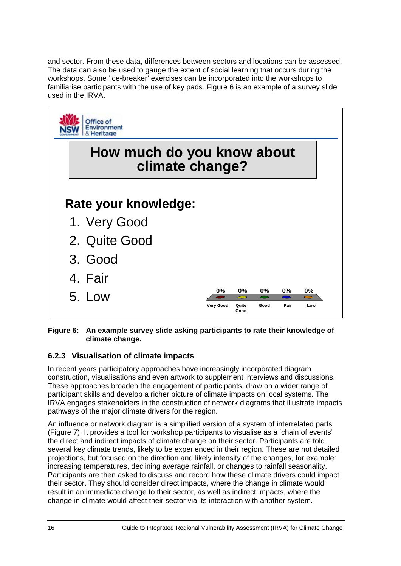and sector. From these data, differences between sectors and locations can be assessed. The data can also be used to gauge the extent of social learning that occurs during the w orkshops. Some 'ice-breaker' exercises can be incorporated into the workshops to familiarise participants with the use of key pads. Figure 6 is an example of a survey slide u sed in the IRVA.



Figure 6: An example survey slide asking participants to rate their knowledge of **climate change.** 

### **6.2.3 Visualisation of climate impacts**

These approaches broaden the engagement of participants, draw on a wider range of participant skills and develop a richer picture of climate impacts on local systems. The IRVA engages stakeholders in the construction of network diagrams that illustrate impacts p athways of the major climate drivers for the region. In recent years participatory approaches have increasingly incorporated diagram construction, visualisations and even artwork to supplement interviews and discussions.

An influence or network diagram is a simplified version of a system of interrelated parts (Figure 7). It provides a tool for workshop participants to visualise as a 'chain of events' the direct and indirect impacts of climate change on their sector. Participants are told several key climate trends, likely to be experienced in their region. These are not detailed projections, but focused on the direction and likely intensity of the changes, for example: Participants are then asked to discuss and record how these climate drivers could impact increasing temperatures, declining average rainfall, or changes to rainfall seasonality. their sector. They should consider direct impacts, where the change in climate would result in an immediate change to their sector, as well as indirect impacts, where the change in climate would affect their sector via its interaction with another system.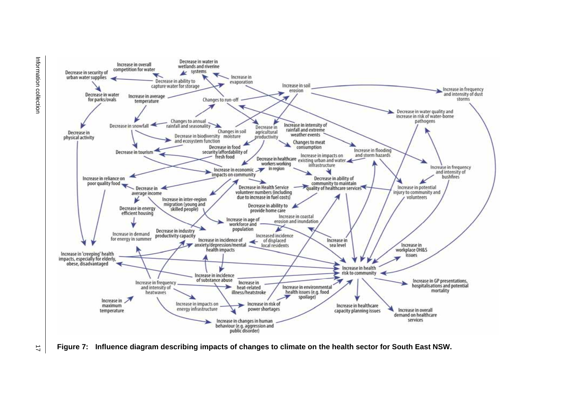

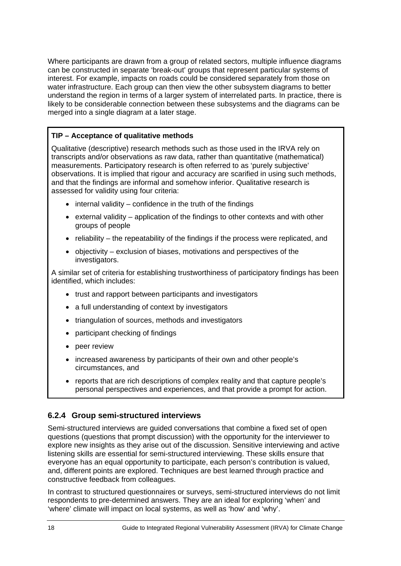Where participants are drawn from a group of related sectors, multiple influence diagrams can be constructed in separate 'break-out' groups that represent particular systems of interest. For example, impacts on roads could be considered separately from those on water infrastructure. Each group can then view the other subsystem diagrams to better understand the region in terms of a larger system of interrelated parts. In practice, there is likely to be considerable connection between these subsystems and the diagrams can be merged into a single diagram at a later stage.

### **TIP – Acceptance of qualitative methods**

Qualitative (descriptive) research methods such as those used in the IRVA rely on transcripts and/or observations as raw data, rather than quantitative (mathematical) measurements. Participatory research is often referred to as 'purely subjective' observations. It is implied that rigour and accuracy are scarified in using such methods, and that the findings are informal and somehow inferior. Qualitative research is assessed for validity using four criteria:

- $\bullet$  internal validity confidence in the truth of the findings
- $\bullet$  external validity application of the findings to other contexts and with other groups of people
- $\bullet$  reliability the repeatability of the findings if the process were replicated, and
- objectivity exclusion of biases, motivations and perspectives of the investigators.

A similar set of criteria for establishing trustworthiness of participatory findings has been identified, which includes:

- trust and rapport between participants and investigators
- a full understanding of context by investigators
- triangulation of sources, methods and investigators
- participant checking of findings
- peer review
- increased awareness by participants of their own and other people's circumstances, and
- reports that are rich descriptions of complex reality and that capture people's personal perspectives and experiences, and that provide a prompt for action.

### **6.2.4 Group semi-structured interviews**

Semi-structured interviews are guided conversations that combine a fixed set of open questions (questions that prompt discussion) with the opportunity for the interviewer to explore new insights as they arise out of the discussion. Sensitive interviewing and active listening skills are essential for semi-structured interviewing. These skills ensure that everyone has an equal opportunity to participate, each person's contribution is valued, and, different points are explored. Techniques are best learned through practice and constructive feedback from colleagues.

In contrast to structured questionnaires or surveys, semi-structured interviews do not limit respondents to pre-determined answers. They are an ideal for exploring 'when' and 'where' climate will impact on local systems, as well as 'how' and 'why'.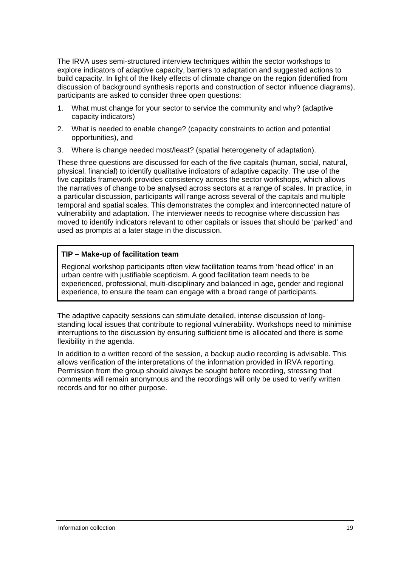The IRVA uses semi-structured interview techniques within the sector workshops to explore indicators of adaptive capacity, barriers to adaptation and suggested actions to build capacity. In light of the likely effects of climate change on the region (identified from discussion of background synthesis reports and construction of sector influence diagram s), participants are asked to consider three open questions:

- 1. What must change for your sector to service the community and why? (adaptive capacity indicators)
- 2. What is needed to enable change? (capacity constraints to action and potential opportunities), and
- 3 . Where is change needed most/least? (spatial heterogeneity of adaptation).

T hese three questions are discussed for each of the five capitals (human, social, natural, p hysical, financial) to identify qualitative indicators of adaptive capacity. The use of the f ive capitals framework provides consistency across the sector workshops, which allows t he narratives of change to be analysed across sectors at a range of scales. In practice, in a particular discussion, participants will range across several of the capitals and multiple temporal and spatial scales. This demonstrates the complex and interconnected nature of vulnerability and adaptation. The interviewer needs to recognise where discussion has moved to identify indicators relevant to other capitals or issues that should be 'parked' and used as prompts at a later stage in the discussion.

### **TIP – Make-up of facilitation team**

experienced, professional, multi-disciplinary and balanced in age, gender and regional experience, to ensure the team can engage with a broad range of participants. Regional workshop participants often view facilitation teams from 'head office' in an urban centre with justifiable scepticism. A good facilitation team needs to be

The adaptive capacity sessions can stimulate detailed, intens e discussion of longstanding local issues that contribute to regional vulnerability. Workshops need to minimise interruptions to the discussion by ensuring sufficient time is allocated and there is some flexibility in the agenda.

In addition to a written record of the session, a backup audio recording is advisable. This allows verification of the interpretations of the information provided in IRVA reporting. Permission from the group should always be sought before recording, stressing that comments will remain anonymous and the recordings will only be used to verify written records and for no other purpose.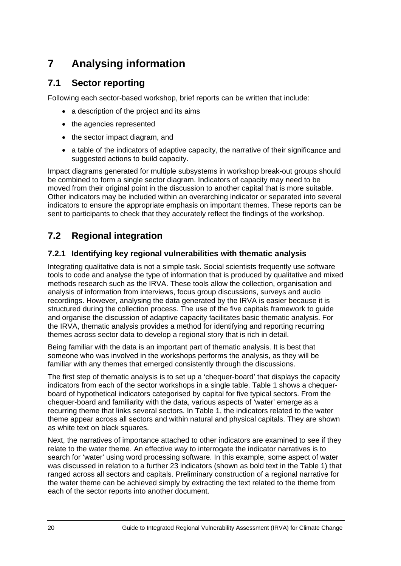# <span id="page-25-0"></span>**7 Analysing information**

## <span id="page-25-1"></span>**7.1 Sector reporting**

Following each sector-based workshop, brief reports can be written that include:

- a description of the project and its aims
- the agencies represented
- the sector impact diagram, and
- a table of the indicators of adaptive capacity, the narrative of their significance and suggested actions to build capacity.

Impact diagrams generated for multiple subsystems in workshop break-out groups should Other indicators may be included within an overarching indicator or separated into several be combined to form a single sector diagram. Indicators of capacity may need to be moved from their original point in the discussion to another capital that is more suitable. indicators to ensure the appropriate emphasis on important themes. These reports can be sent to participants to check that they accurately reflect the findings of the workshop.

## <span id="page-25-2"></span>**7.2 Regional integration**

### **7.2.1 Identifying key regional vulnerabilities with thematic analysis**

Integrating qualitative data is not a simple task. Social scientists frequently use software tools to code and analyse the type of information that is produced by qualitative and mixed m ethods research such as the IRVA. These tools allow the collection, organisation and analysis of information from interviews, focus group discussions, surveys and audio recordings. However, analysing the data generated by the IRVA is easier because it is structured during the collection process. The use of the five capitals framework to guide and organise the discussion of adaptive capacity facilitates basic thematic analysis. For the IRVA, thematic analysis provides a method for identifying and reporting recurring themes across sector data to develop a regional story that is rich in detail.

Being familiar with the data is an important part of thematic analysis. It is best that someone who was involved in the workshops performs the analysis, as they will be familiar with any themes that emerged consistently through the discussions.

The first step of thematic analysis is to set up a 'chequer-board' that displays the capacity board of hypothetical indicators categorised by capital for five typical sectors. From the chequer-board and familiarity with the data, various aspects of 'water' emerge as a recurring theme that links several sectors. In Table 1, the indicators related to the water theme appear across all sectors and within natural and physical capitals. They are shown as white text on black squares. indicators from each of the sector workshops in a single table. Table 1 shows a chequer-

Next, the narratives of importance attached to other indicators are examined to see if they relate to the water theme. An effective way to interrogate the indicator narratives is to search for 'water' using word processing software. In this example, some aspect of water was discussed in relation to a further 23 indicators (shown as bold text in the Table 1) that ranged across all sectors and capitals. Preliminary construction of a regional narrative for the water theme can be achieved simply by extracting the text related to the theme from each of the sector reports into another document.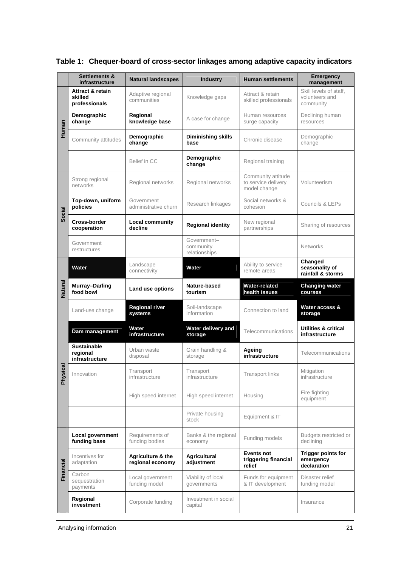|                            | Settlements &<br>infrastructure                         | <b>Natural landscapes</b>             | <b>Industry</b>                           | <b>Human settlements</b>                                  | <b>Emergency</b><br>management                        |
|----------------------------|---------------------------------------------------------|---------------------------------------|-------------------------------------------|-----------------------------------------------------------|-------------------------------------------------------|
| Human                      | <b>Attract &amp; retain</b><br>skilled<br>professionals | Adaptive regional<br>communities      | Knowledge gaps                            | Attract & retain<br>skilled professionals                 | Skill levels of staff,<br>volunteers and<br>community |
|                            | Demographic<br>change                                   | Regional<br>knowledge base            | A case for change                         | Human resources<br>surge capacity                         | Declining human<br>resources                          |
|                            | Community attitudes                                     | Demographic<br>change                 | <b>Diminishing skills</b><br>base         | Chronic disease                                           | Demographic<br>change                                 |
|                            |                                                         | Belief in CC                          | Demographic<br>change                     | Regional training                                         |                                                       |
|                            | Strong regional<br>networks                             | Regional networks                     | Regional networks                         | Community attitude<br>to service delivery<br>model change | Volunteerism                                          |
| Social                     | Top-down, uniform<br>policies                           | Government<br>administrative churn    | Research linkages                         | Social networks &<br>cohesion                             | Councils & LEPs                                       |
|                            | <b>Cross-border</b><br>cooperation                      | <b>Local community</b><br>decline     | <b>Regional identity</b>                  | New regional<br>partnerships                              | Sharing of resources                                  |
|                            | Government<br>restructures                              |                                       | Government-<br>community<br>relationships |                                                           | <b>Networks</b>                                       |
|                            | Water                                                   | Landscape<br>connectivity             | Water                                     | Ability to service<br>remote areas                        | Changed<br>seasonality of<br>rainfall & storms        |
| Natural                    | <b>Murray-Darling</b><br>food bowl                      | Land use options                      | Nature-based<br>tourism                   | <b>Water-related</b><br>health issues                     | <b>Changing water</b><br>courses                      |
|                            | Land-use change                                         | <b>Regional river</b><br>systems      | Soil-landscape<br>information             | Connection to land                                        | Water access &<br>storage                             |
|                            | Dam management                                          | Water<br>infrastructure               | Water delivery and<br>storage             | Telecommunications                                        | <b>Utilities &amp; critical</b><br>infrastructure     |
|                            | <b>Sustainable</b><br>regional<br>infrastructure        | Urban waste<br>disposal               | Grain handling &<br>storage               | Ageing<br>infrastructure                                  | Telecommunications                                    |
| <u>cal</u><br><b>Physi</b> | Innovation                                              | Transport<br>infrastructure           | Transport<br>infrastructure               | <b>Transport links</b>                                    | Mitigation<br>infrastructure                          |
|                            |                                                         | High speed internet                   | High speed internet                       | Housing                                                   | Fire fighting<br>equipment                            |
|                            |                                                         |                                       | Private housing<br>stock                  | Equipment & IT                                            |                                                       |
| Financial                  | Local government<br>funding base                        | Requirements of<br>funding bodies     | Banks & the regional<br>economy           | Funding models                                            | Budgets restricted or<br>declining                    |
|                            | Incentives for<br>adaptation                            | Agriculture & the<br>regional economy | <b>Agricultural</b><br>adjustment         | <b>Events not</b><br>triggering financial<br>relief       | <b>Trigger points for</b><br>emergency<br>declaration |
|                            | Carbon<br>sequestration<br>payments                     | Local government<br>funding model     | Viability of local<br>governments         | Funds for equipment<br>& IT development                   | Disaster relief<br>funding model                      |
|                            | Regional<br>investment                                  | Corporate funding                     | Investment in social<br>capital           |                                                           | Insurance                                             |

## **Table 1: Chequer-board of cross-sector linkages among adaptive capacity indicators**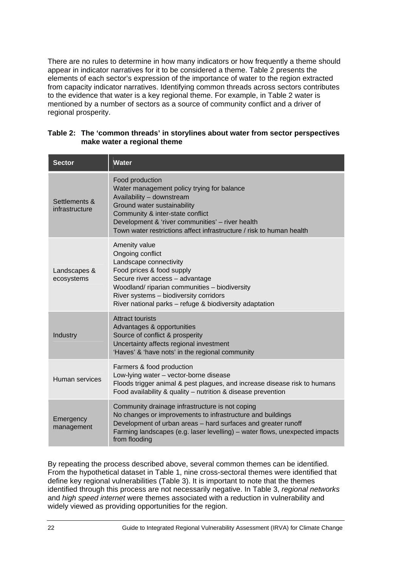There are no rules to determine in how many indicators or how frequently a theme should appear in indicator narratives for it to be considered a theme. Table 2 presents the elements of each sector's expression of the importance of water to the region extracted from capacity indicator narratives. Identifying common threads across sectors contributes to the evidence that water is a key regional theme. For example, in Table 2 water is mentioned by a number of sectors as a source of community conflict and a driver of regional prosperity.

| <b>Sector</b>                   | <b>Water</b>                                                                                                                                                                                                                                                                              |
|---------------------------------|-------------------------------------------------------------------------------------------------------------------------------------------------------------------------------------------------------------------------------------------------------------------------------------------|
| Settlements &<br>infrastructure | Food production<br>Water management policy trying for balance<br>Availability - downstream<br>Ground water sustainability<br>Community & inter-state conflict<br>Development & 'river communities' - river health<br>Town water restrictions affect infrastructure / risk to human health |
| Landscapes &<br>ecosystems      | Amenity value<br>Ongoing conflict<br>Landscape connectivity<br>Food prices & food supply<br>Secure river access - advantage<br>Woodland/ riparian communities - biodiversity<br>River systems - biodiversity corridors<br>River national parks - refuge & biodiversity adaptation         |
| Industry                        | Attract tourists<br>Advantages & opportunities<br>Source of conflict & prosperity<br>Uncertainty affects regional investment<br>'Haves' & 'have nots' in the regional community                                                                                                           |
| Human services                  | Farmers & food production<br>Low-lying water - vector-borne disease<br>Floods trigger animal & pest plagues, and increase disease risk to humans<br>Food availability & quality - nutrition & disease prevention                                                                          |
| Emergency<br>management         | Community drainage infrastructure is not coping<br>No changes or improvements to infrastructure and buildings<br>Development of urban areas - hard surfaces and greater runoff<br>Farming landscapes (e.g. laser levelling) - water flows, unexpected impacts<br>from flooding            |

### Table 2: The 'common threads' in storylines about water from sector perspectives **make water a regional theme**

By repeating the process described above, several common themes can be identified. From the hypothetical dataset in Table 1, nine cross-sectoral themes were identified that define key regional vulnerabilities (Table 3). It is important to note that the themes identified through this process are not necessarily negative. In Table 3, *regional networks* and high speed internet were themes associated with a reduction in vulnerability and widely viewed as providing opportunities for the region.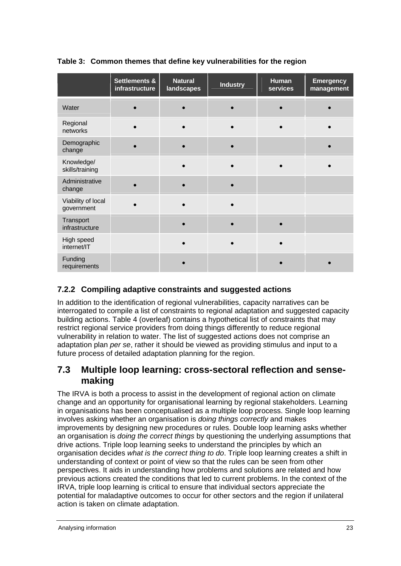|                                  | <b>Settlements &amp;</b><br>infrastructure | <b>Natural</b><br>landscapes | <b>Industry</b> | Human<br>services | <b>Emergency</b><br>management |
|----------------------------------|--------------------------------------------|------------------------------|-----------------|-------------------|--------------------------------|
| Water                            |                                            |                              |                 |                   |                                |
| Regional<br>networks             |                                            |                              |                 |                   |                                |
| Demographic<br>change            |                                            |                              |                 |                   |                                |
| Knowledge/<br>skills/training    |                                            |                              |                 |                   |                                |
| Administrative<br>change         |                                            |                              |                 |                   |                                |
| Viability of local<br>government |                                            |                              |                 |                   |                                |
| Transport<br>infrastructure      |                                            |                              |                 |                   |                                |
| High speed<br>internet/IT        |                                            |                              |                 |                   |                                |
| Funding<br>requirements          |                                            |                              |                 |                   |                                |

### **Table 3: Common themes that define key vulnerabilities for the region**

## **7.2.2 Compiling adaptive constraints and suggested actions**

In addition to the identification of regional vulnerabilities, capacity narratives can be interrogated to compile a list of constraints to regional adaptation and suggested capacity building actions. Table 4 (overleaf) contains a hypothetical list of constraints that may restrict regional service providers from doing things differently to reduce regional vulnerability in relation to water. The list of suggested actions does not comprise an adaptation plan *per se*, rather it should be viewed as providing stimulus and input to a future process of detailed adaptation planning for the region.

## <span id="page-28-0"></span>**7.3 Multiple loop learning: cross-sectoral reflection and sensemaking**

The IRVA is both a process to assist in the development of regional action on climate change and an opportunity for organisational learning by regional stakeholders. Learning in organisations has been conceptualised as a multiple loop process. Single loop learning involves asking whether an organisation is *doing things correctly* and makes improvements by designing new procedures or rules. Double loop learning asks whether an organisation is *d oing the correct things* by questioning the underlying assumptions that drive actions. Triple loop learning seeks to understand the principles by which an organisation decides what is the correct thing to do. Triple loop learning creates a shift in understanding of context or point of view so that the rules can be seen from other perspectives. It aids in understanding how problems and solutions are related and how previous actions created the conditions that led to current problems. In the context of the IRVA, triple loop learning is critical to ensure that individual sectors appreciate the potential for maladaptive outcomes to occur for other sectors and the region if unilateral action is taken on climate adaptation.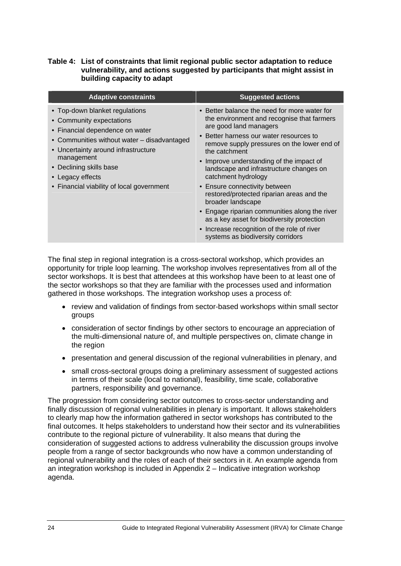### **Table 4: List of constraints that limit regional public sector adaptation to reduce vulnerability, and actions suggested by participants that might assist in building capacity to adapt**

| <b>Adaptive constraints</b>                                                                                                                                                                                                                                                                   | <b>Suggested actions</b>                                                                                                                                                                                                                                                                                                                                                                                                                                                                                                                                                                                                            |
|-----------------------------------------------------------------------------------------------------------------------------------------------------------------------------------------------------------------------------------------------------------------------------------------------|-------------------------------------------------------------------------------------------------------------------------------------------------------------------------------------------------------------------------------------------------------------------------------------------------------------------------------------------------------------------------------------------------------------------------------------------------------------------------------------------------------------------------------------------------------------------------------------------------------------------------------------|
| • Top-down blanket regulations<br>• Community expectations<br>• Financial dependence on water<br>• Communities without water – disadvantaged<br>• Uncertainty around infrastructure<br>management<br>• Declining skills base<br>• Legacy effects<br>• Financial viability of local government | • Better balance the need for more water for<br>the environment and recognise that farmers<br>are good land managers<br>• Better harness our water resources to<br>remove supply pressures on the lower end of<br>the catchment<br>• Improve understanding of the impact of<br>landscape and infrastructure changes on<br>catchment hydrology<br>• Ensure connectivity between<br>restored/protected riparian areas and the<br>broader landscape<br>• Engage riparian communities along the river<br>as a key asset for biodiversity protection<br>• Increase recognition of the role of river<br>systems as biodiversity corridors |

The final step in regional integration is a cross-sectoral workshop, which provides an opportunity for triple loop learning. The workshop involves representatives from all of the sector workshops. It is best that attendees at this workshop have been to at least one of the sector workshops so that they are familiar with the processes used and information gathered in those workshops. The integration workshop uses a process of:

- review and validation of findings from sector-based workshops within small sector groups
- consideration of sector findings by other sectors to encourage an appreciation of the multi-dimensional nature of, and multiple perspectives on, climate change in the region
- presentation and general discussion of the regional vulnerabilities in plenary, and
- in terms of their scale (local to national), feasibility, time scale, collaborative • small cross-sectoral groups doing a preliminary assessment of suggested actions partners, responsibility and governance.

to clearly map how the information gathered in sector workshops has contributed to the consideration of suggested actions to address vulnerability the discussion groups involve regional vulnerability and the roles of each of their sectors in it. An example agenda from The progression from considering sector outcomes to cross-sector understanding and finally discussion of regional vulnerabilities in plenary is important. It allows stakeholders final outcomes. It helps stakeholders to understand how their sector and its vulnerabilities contribute to the regional picture of vulnerability. It also means that during the people from a range of sector backgrounds who now have a common understanding of an integration workshop is included in Appendix 2 – Indicative integration workshop agenda.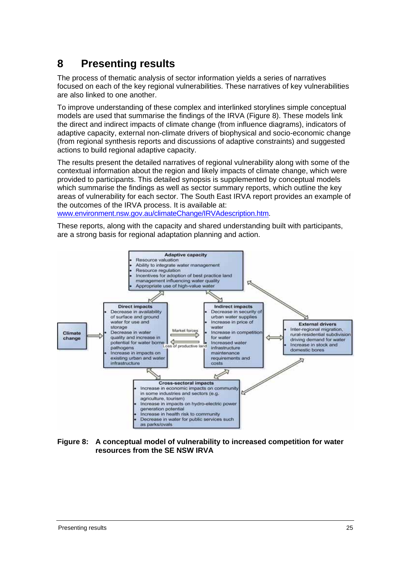## <span id="page-30-0"></span>**8 Presenting results**

The process of thematic analysis of sector information yields a series of narratives focused on each of the key regional vulnerabilities. These narratives of key vulnerabilities are also link ed to one another.

To improve understanding of these complex and interlinked storylines simple conceptual models are used that summarise the findings of the IRVA (Figure 8). These models link the direct and indirect impacts of climate change (from influence diagrams), indicators of adaptive capacity, external non-climate drivers of biophysical and socio-economic change actions to build regional adaptive capacity. (from regional synthesis reports and discussions of adaptive constraints) and suggested

The results present the detailed narratives of regional vulnerability along with some of the contextual information about the region and likely impacts of climate change, which were provided to participants. This detailed synopsis is supplemented by conceptual models which summarise the findings as well as sector summary reports, which outline the key areas of vulnerability for each sector. The South East IRVA report provides an example of the outcomes of the IRVA process. It is available at:

www.environment.nsw.gov.au/climateChange/IRVAdescription.htm.

These reports, along with the capacity and shared understanding built with participants, are a strong basis for regional adaptat ion planning and action.



**Figure 8: A conceptual model of vulnerability to increased competition for water resources from the SE NSW IRVA**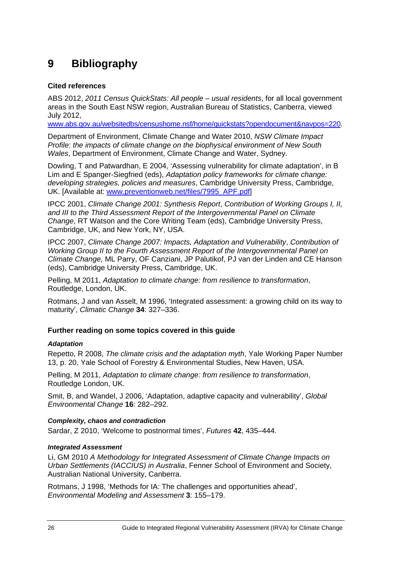# <span id="page-31-0"></span>**9 Bibliography**

### **Cited references**

ABS 2012, *2011 Census QuickStats: All people – usual residents*, for all local government areas in the South East NSW region, Australian Bureau of Statistics, Canberra, viewed July 2012,

www.abs.gov.au/websitedbs/censushome.nsf/home/quickstats?opendocument&navpos=220.

*Wales*, Department of Environment, Climate Change and Water, Sydney. Department of Environment, Climate Change and Water 2010, *NSW Climate Impact Profile: the impacts of climate change on the biophysical environment of New South* 

Dowling, T and Patwardhan, E 2004, 'Assessing vulnerability for climate adaptation', in B Lim and E Spanger-Siegfried (eds), *Adaptation policy frameworks for climate change: developing strategies, policies and measures*, Cambridge University Press, Cambridge, UK. [Available at: [www.preventionweb.net/files/7995\\_APF.pdf](http://www.environment.nsw.gov.au/climateChange/IRVAdescription.htm)]

IPCC 2001, *Climate Change 2001: Synthesis Report, Contribution of Working Groups I, II,* and III to the Third Assessment Report of the Intergovernmental Panel on Climate *Change*, RT Watson and the Core Writing Team (eds), Cambridge University Press, Cambridge, UK, and New York, NY, USA.

IPCC 2007, *Climate Change 2007: Impacts, Adaptation and Vulnerability*, *Contribution of Working Group II to the Fourth Assessment Report of the Intergovernmental Panel on Climate Change,* ML Parry, OF Canziani, JP Palutikof, PJ van der Linden and CE Hanson (eds), Cambridge University Press, Cambridge, UK.

Pelling, M 2011, *Adaptation to climate change: from resilience to transformation*, Routledge, London, UK.

Rotmans, J and van Asselt, M 1996, 'Integrated assessment: a growing child on its way to maturity', *Climatic Change* **34**: 327–336.

### **Further reading on some topics covered in this guide**

### *Adaptation*

Repetto, R 2008, *The climate crisis and the adaptation myth*, Yale Working Paper Number 13, p. 20, Yale School of Forestry & Environmental Studies, New Haven, USA.

Pelling, M 2011, *Adaptation to climate change: from resilience to transformation*, Routledge London, UK.

Smit, B, and Wandel, J 2006, 'Adaptation, adaptive capacity and vulnerability', *Global Environmental Change* **16**: 282–292.

### *Complexity, chaos and contradiction*

Sardar, Z 2010, 'Welcome to postnormal times', *Futures* **42**, 435–444.

### *Integrated Assessment*

Li, GM 2010 *A Methodology for Integrated Assessment of Climate Change Impacts on Urban Settlements (IACCIUS) in Australia*, Fenner School of Environment and Society, Australian National University, Canberra.

Rotmans, J 1998, 'Methods for IA: The challenges and opportunities ahead', *Environmental Modeling and Assessment* **3**: 155–179.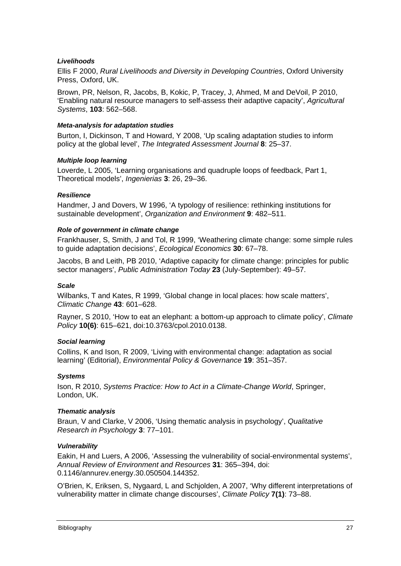### *Livelihoods*

Ellis F 2000, *Rural Livelihoods and Diversity in Developing Countries*, Oxford University Press, Oxford, UK.

Brown, PR, Nelson, R, Jacobs, B, Kokic, P, Tracey, J, Ahmed, M and DeVoil, P 2010, 'Enabling natural resource managers to self-assess their adaptive capacity', *Agricultural Systems*, **103**: 562–568.

#### *Meta-analysis for adaptation studies*

Burton, I, Dickinson, T and Howard, Y 2008, 'Up scaling adaptation studies to inform policy at the global level', *The Integrated Assessment Journal* **8**: 25–37.

#### *Multiple loop learning*

Loverde, L 2005, 'Learning organisations and quadruple loops of feedback, Part 1, Theoretical models', *Ingenierias* **3**: 26, 29–36.

#### *Resilience*

Handmer, J and Dovers, W 1996, 'A typology of resilience: rethinking institutions for sustainable development', *Organization and Environment* **9**: 482–511.

#### *Role of government in climate change*

Frankhauser, S, Smith, J and Tol, R 1999, 'Weathering climate change: some simple rules to guide adaptation decisions', *Ecological Economics* **30**: 67–78.

sector managers', Public Administration Today 23 (July-September): 49-57. Jacobs, B and Leith, PB 2010, 'Adaptive capacity for climate change: principles for public

#### *Scale*

Wilbanks, T and Kates, R 1999, 'Global change in local places: how scale matters', *Climatic Change* **43**: 601–628.

Rayner, S 2010, 'How to eat an elephant: a bottom-up approach to climate policy', *Climate Policy* **10(6)**: 615–621, doi:10.3763/cpol.2010.0138.

### **Social learning**

Collins, K and Ison, R 2009, 'Living with environmental change: adaptation as social learning' (Editorial), *Environmental Policy & Governance* **19**: 351–357.

### *Systems*

Ison, R 2010, *Systems Practice: How to Act in a Climate-Change World*, Springer, London, UK.

#### *Thematic analysis*

Braun, V and Clarke, V 2006, 'Using thematic analysis in psychology', Qualitative *Research in Psychology* **3**: 77–101.

#### *Vulnerability*

Eakin, H and Luers, A 2006, 'Assessing the vulnerability of social-environmental systems', . 0.1146/annurev.energy.30.050504.144352 *Annual Review of Environment and Resources* **31**: 365–394, doi:

O'Brien, K, Eriksen, S, Nygaard, L and Schjolden, A 2007, 'Why different interpretations of **7(1)**: 73–88. vulnerability matter in climate change discourses', *Climate Policy*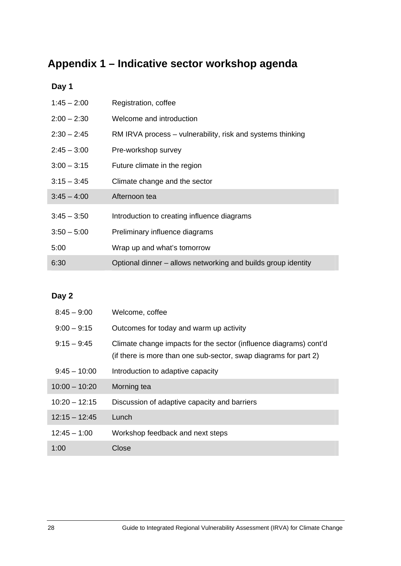# <span id="page-33-0"></span>**Appendix 1 – Indicative sector workshop agenda**

## **Day 1**

| $1:45 - 2:00$ | Registration, coffee                                          |
|---------------|---------------------------------------------------------------|
| $2:00 - 2:30$ | Welcome and introduction                                      |
| $2:30 - 2:45$ | RM IRVA process – vulnerability, risk and systems thinking    |
| $2:45 - 3:00$ | Pre-workshop survey                                           |
| $3:00 - 3:15$ | Future climate in the region                                  |
| $3:15 - 3:45$ | Climate change and the sector                                 |
| $3:45 - 4:00$ | Afternoon tea                                                 |
| $3:45 - 3:50$ | Introduction to creating influence diagrams                   |
| $3:50 - 5:00$ | Preliminary influence diagrams                                |
| 5:00          | Wrap up and what's tomorrow                                   |
| 6:30          | Optional dinner – allows networking and builds group identity |

## **Day 2**

| $8:45 - 9:00$   | Welcome, coffee                                                                                                                       |
|-----------------|---------------------------------------------------------------------------------------------------------------------------------------|
| $9:00 - 9:15$   | Outcomes for today and warm up activity                                                                                               |
| $9:15 - 9:45$   | Climate change impacts for the sector (influence diagrams) cont'd<br>(if there is more than one sub-sector, swap diagrams for part 2) |
| $9:45 - 10:00$  | Introduction to adaptive capacity                                                                                                     |
| $10:00 - 10:20$ | Morning tea                                                                                                                           |
| $10:20 - 12:15$ | Discussion of adaptive capacity and barriers                                                                                          |
| $12:15 - 12:45$ | Lunch                                                                                                                                 |
| $12:45 - 1:00$  | Workshop feedback and next steps                                                                                                      |
| 1:00            | Close                                                                                                                                 |